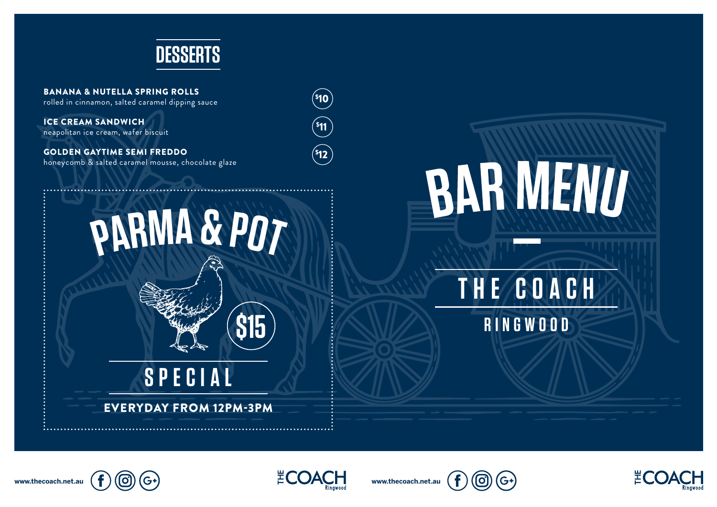

BANANA & NUTELLA SPRING ROLLS rolled in cinnamon, salted caramel dipping sauce

ICE CREAM SANDWICH neapolitan ice cream, wafer biscuit

GOLDEN GAYTIME SEMI FREDDO honeycomb & salted caramel mousse, chocolate glaze



**\$15**

**SPECIAL** EVERYDAY FROM 12PM-3PM \$ 10 \$ 11  $^{\mathsf{S}}$ 12



## **THE COACH**

**RINGWOOD**